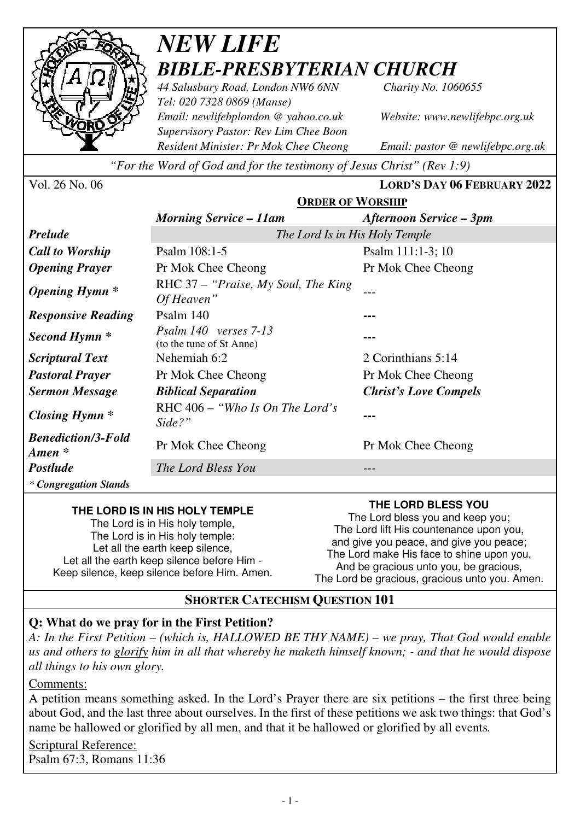

## *NEW LIFE BIBLE-PRESBYTERIAN CHURCH*

*44 Salusbury Road, London NW6 6NN Charity No. 1060655 Tel: 020 7328 0869 (Manse) Email: newlifebplondon @ yahoo.co.uk Website: www.newlifebpc.org.uk Supervisory Pastor: Rev Lim Chee Boon Resident Minister: Pr Mok Chee Cheong Email: pastor @ newlifebpc.org.uk* 

*"For the Word of God and for the testimony of Jesus Christ" (Rev 1:9)*

| Vol. 26 No. 06 |  |  |  |
|----------------|--|--|--|
|----------------|--|--|--|

Vol. 26 No. 06 **LORD'S DAY 06 FEBRUARY 2022**

|                                                 | <b>ORDER OF WORSHIP</b>                           |                                |  |
|-------------------------------------------------|---------------------------------------------------|--------------------------------|--|
|                                                 | <b>Morning Service – 11am</b>                     | <b>Afternoon Service – 3pm</b> |  |
| <b>Prelude</b>                                  | The Lord Is in His Holy Temple                    |                                |  |
| <b>Call to Worship</b>                          | Psalm 108:1-5                                     | Psalm 111:1-3; 10              |  |
| <b>Opening Prayer</b>                           | Pr Mok Chee Cheong                                | Pr Mok Chee Cheong             |  |
| <i><b>Opening Hymn</b></i> *                    | RHC 37 – "Praise, My Soul, The King<br>Of Heaven" |                                |  |
| <b>Responsive Reading</b>                       | Psalm 140                                         |                                |  |
| Second Hymn <sup>*</sup>                        | Psalm 140 verses 7-13<br>(to the tune of St Anne) |                                |  |
| <i>Scriptural Text</i>                          | Nehemiah 6:2                                      | 2 Corinthians 5:14             |  |
| <b>Pastoral Prayer</b>                          | Pr Mok Chee Cheong                                | Pr Mok Chee Cheong             |  |
| <b>Sermon Message</b>                           | <b>Biblical Separation</b>                        | <b>Christ's Love Compels</b>   |  |
| <i>Closing Hymn</i> $*$                         | RHC $406 - "Who Is On The Lord's"$<br>Side?"      | ---                            |  |
| <b>Benediction/3-Fold</b><br>$A$ <i>men</i> $*$ | Pr Mok Chee Cheong                                | Pr Mok Chee Cheong             |  |
| <b>Postlude</b>                                 | The Lord Bless You                                | ---                            |  |
| <i>* Congregation Stands</i>                    |                                                   |                                |  |

### **THE LORD IS IN HIS HOLY TEMPLE**

The Lord is in His holy temple, The Lord is in His holy temple: Let all the earth keep silence, Let all the earth keep silence before Him - Keep silence, keep silence before Him. Amen. **THE LORD BLESS YOU** 

The Lord bless you and keep you; The Lord lift His countenance upon you, and give you peace, and give you peace; The Lord make His face to shine upon you, And be gracious unto you, be gracious, The Lord be gracious, gracious unto you. Amen.

### **SHORTER CATECHISM QUESTION 101**

### **Q: What do we pray for in the First Petition?**

*A: In the First Petition – (which is, HALLOWED BE THY NAME) – we pray, That God would enable us and others to glorify him in all that whereby he maketh himself known; - and that he would dispose all things to his own glory.* 

### Comments:

A petition means something asked. In the Lord's Prayer there are six petitions – the first three being about God, and the last three about ourselves. In the first of these petitions we ask two things: that God's name be hallowed or glorified by all men, and that it be hallowed or glorified by all events*.*

Scriptural Reference: Psalm 67:3, Romans 11:36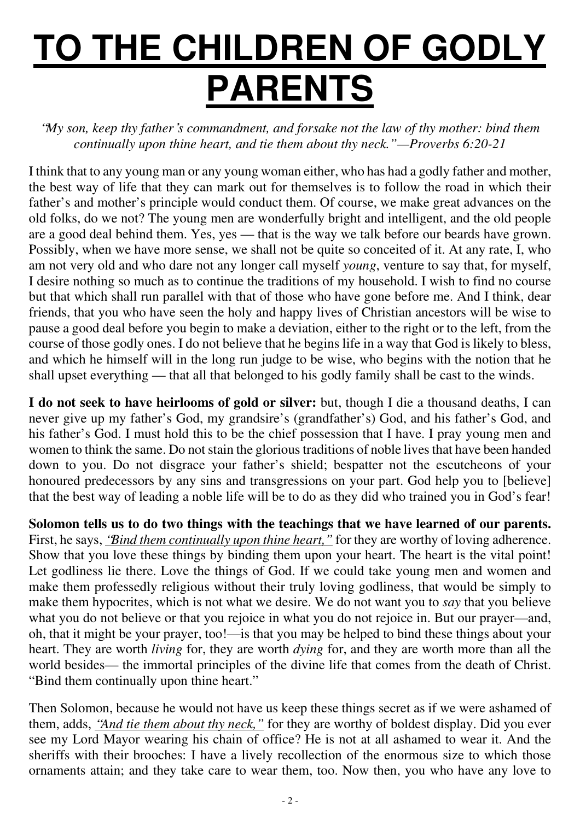# **TO THE CHILDREN OF GODLY PARENTS**

"*My son, keep thy father*'*s commandment, and forsake not the law of thy mother: bind them continually upon thine heart, and tie them about thy neck."—Proverbs 6:20-21* 

I think that to any young man or any young woman either, who has had a godly father and mother, the best way of life that they can mark out for themselves is to follow the road in which their father's and mother's principle would conduct them. Of course, we make great advances on the old folks, do we not? The young men are wonderfully bright and intelligent, and the old people are a good deal behind them. Yes, yes — that is the way we talk before our beards have grown. Possibly, when we have more sense, we shall not be quite so conceited of it. At any rate, I, who am not very old and who dare not any longer call myself *young*, venture to say that, for myself, I desire nothing so much as to continue the traditions of my household. I wish to find no course but that which shall run parallel with that of those who have gone before me. And I think, dear friends, that you who have seen the holy and happy lives of Christian ancestors will be wise to pause a good deal before you begin to make a deviation, either to the right or to the left, from the course of those godly ones. I do not believe that he begins life in a way that God is likely to bless, and which he himself will in the long run judge to be wise, who begins with the notion that he shall upset everything — that all that belonged to his godly family shall be cast to the winds.

**I do not seek to have heirlooms of gold or silver:** but, though I die a thousand deaths, I can never give up my father's God, my grandsire's (grandfather's) God, and his father's God, and his father's God. I must hold this to be the chief possession that I have. I pray young men and women to think the same. Do not stain the glorious traditions of noble lives that have been handed down to you. Do not disgrace your father's shield; bespatter not the escutcheons of your honoured predecessors by any sins and transgressions on your part. God help you to [believe] that the best way of leading a noble life will be to do as they did who trained you in God 's fear!

**Solomon tells us to do two things with the teachings that we have learned of our parents.** First, he says, *'Bind them continually upon thine heart*," for they are worthy of loving adherence. Show that you love these things by binding them upon your heart. The heart is the vital point! Let godliness lie there. Love the things of God. If we could take young men and women and make them professedly religious without their truly loving godliness, that would be simply to make them hypocrites, which is not what we desire. We do not want you to *say* that you believe what you do not believe or that you rejoice in what you do not rejoice in. But our prayer—and, oh, that it might be your prayer, too!—is that you may be helped to bind these things about your heart. They are worth *living* for, they are worth *dying* for, and they are worth more than all the world besides— the immortal principles of the divine life that comes from the death of Christ. "Bind them continually upon thine heart."

Then Solomon, because he would not have us keep these things secret as if we were ashamed of them, adds, "*And tie them about thy neck,"* for they are worthy of boldest display. Did you ever see my Lord Mayor wearing his chain of office? He is not at all ashamed to wear it. And the sheriffs with their brooches: I have a lively recollection of the enormous size to which those ornaments attain; and they take care to wear them, too. Now then, you who have any love to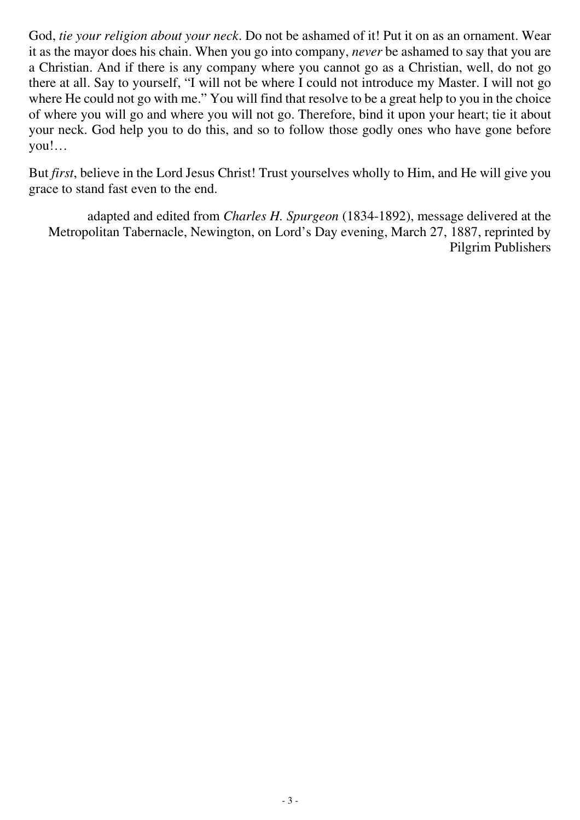God, *tie your religion about your neck*. Do not be ashamed of it! Put it on as an ornament. Wear it as the mayor does his chain. When you go into company, *never* be ashamed to say that you are a Christian. And if there is any company where you cannot go as a Christian, well, do not go there at all. Say to yourself, "I will not be where I could not introduce my Master. I will not go where He could not go with me." You will find that resolve to be a great help to you in the choice of where you will go and where you will not go. Therefore, bind it upon your heart; tie it about your neck. God help you to do this, and so to follow those godly ones who have gone before you!…

But *first*, believe in the Lord Jesus Christ! Trust yourselves wholly to Him, and He will give you grace to stand fast even to the end.

adapted and edited from *Charles H. Spurgeon* (1834-1892), message delivered at the Metropolitan Tabernacle, Newington, on Lord's Day evening, March 27, 1887, reprinted by Pilgrim Publishers